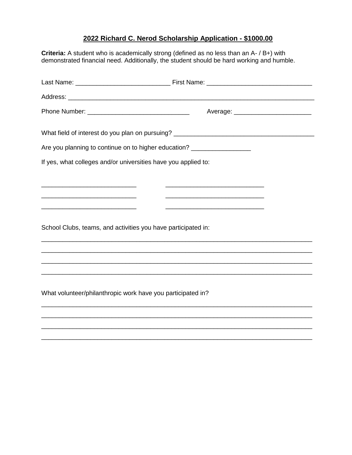## **2022 Richard C. Nerod Scholarship Application - \$1000.00**

**Criteria:** A student who is academically strong (defined as no less than an A- / B+) with demonstrated financial need. Additionally, the student should be hard working and humble. Last Name: \_\_\_\_\_\_\_\_\_\_\_\_\_\_\_\_\_\_\_\_\_\_\_\_\_\_\_ First Name: \_\_\_\_\_\_\_\_\_\_\_\_\_\_\_\_\_\_\_\_\_\_\_\_\_\_\_\_\_\_ Address: \_\_\_\_\_\_\_\_\_\_\_\_\_\_\_\_\_\_\_\_\_\_\_\_\_\_\_\_\_\_\_\_\_\_\_\_\_\_\_\_\_\_\_\_\_\_\_\_\_\_\_\_\_\_\_\_\_\_\_\_\_\_\_\_\_\_\_\_\_\_ Phone Number: **Example 20** and the set of the set of the Average:  $\overline{a}$ What field of interest do you plan on pursuing? Are you planning to continue on to higher education? \_\_\_\_\_\_\_\_\_\_\_\_\_\_\_\_\_\_\_\_\_\_\_\_\_\_\_ If yes, what colleges and/or universities have you applied to: \_\_\_\_\_\_\_\_\_\_\_\_\_\_\_\_\_\_\_\_\_\_\_\_\_\_\_ \_\_\_\_\_\_\_\_\_\_\_\_\_\_\_\_\_\_\_\_\_\_\_\_\_\_\_\_ \_\_\_\_\_\_\_\_\_\_\_\_\_\_\_\_\_\_\_\_\_\_\_\_\_\_\_ \_\_\_\_\_\_\_\_\_\_\_\_\_\_\_\_\_\_\_\_\_\_\_\_\_\_\_\_ \_\_\_\_\_\_\_\_\_\_\_\_\_\_\_\_\_\_\_\_\_\_\_\_\_\_\_ \_\_\_\_\_\_\_\_\_\_\_\_\_\_\_\_\_\_\_\_\_\_\_\_\_\_\_\_ School Clubs, teams, and activities you have participated in: \_\_\_\_\_\_\_\_\_\_\_\_\_\_\_\_\_\_\_\_\_\_\_\_\_\_\_\_\_\_\_\_\_\_\_\_\_\_\_\_\_\_\_\_\_\_\_\_\_\_\_\_\_\_\_\_\_\_\_\_\_\_\_\_\_\_\_\_\_\_\_\_\_\_\_\_\_ \_\_\_\_\_\_\_\_\_\_\_\_\_\_\_\_\_\_\_\_\_\_\_\_\_\_\_\_\_\_\_\_\_\_\_\_\_\_\_\_\_\_\_\_\_\_\_\_\_\_\_\_\_\_\_\_\_\_\_\_\_\_\_\_\_\_\_\_\_\_\_\_\_\_\_\_\_ \_\_\_\_\_\_\_\_\_\_\_\_\_\_\_\_\_\_\_\_\_\_\_\_\_\_\_\_\_\_\_\_\_\_\_\_\_\_\_\_\_\_\_\_\_\_\_\_\_\_\_\_\_\_\_\_\_\_\_\_\_\_\_\_\_\_\_\_\_\_\_\_\_\_\_\_\_ \_\_\_\_\_\_\_\_\_\_\_\_\_\_\_\_\_\_\_\_\_\_\_\_\_\_\_\_\_\_\_\_\_\_\_\_\_\_\_\_\_\_\_\_\_\_\_\_\_\_\_\_\_\_\_\_\_\_\_\_\_\_\_\_\_\_\_\_\_\_\_\_\_\_\_\_\_ What volunteer/philanthropic work have you participated in? \_\_\_\_\_\_\_\_\_\_\_\_\_\_\_\_\_\_\_\_\_\_\_\_\_\_\_\_\_\_\_\_\_\_\_\_\_\_\_\_\_\_\_\_\_\_\_\_\_\_\_\_\_\_\_\_\_\_\_\_\_\_\_\_\_\_\_\_\_\_\_\_\_\_\_\_\_ \_\_\_\_\_\_\_\_\_\_\_\_\_\_\_\_\_\_\_\_\_\_\_\_\_\_\_\_\_\_\_\_\_\_\_\_\_\_\_\_\_\_\_\_\_\_\_\_\_\_\_\_\_\_\_\_\_\_\_\_\_\_\_\_\_\_\_\_\_\_\_\_\_\_\_\_\_ \_\_\_\_\_\_\_\_\_\_\_\_\_\_\_\_\_\_\_\_\_\_\_\_\_\_\_\_\_\_\_\_\_\_\_\_\_\_\_\_\_\_\_\_\_\_\_\_\_\_\_\_\_\_\_\_\_\_\_\_\_\_\_\_\_\_\_\_\_\_\_\_\_\_\_\_\_

\_\_\_\_\_\_\_\_\_\_\_\_\_\_\_\_\_\_\_\_\_\_\_\_\_\_\_\_\_\_\_\_\_\_\_\_\_\_\_\_\_\_\_\_\_\_\_\_\_\_\_\_\_\_\_\_\_\_\_\_\_\_\_\_\_\_\_\_\_\_\_\_\_\_\_\_\_